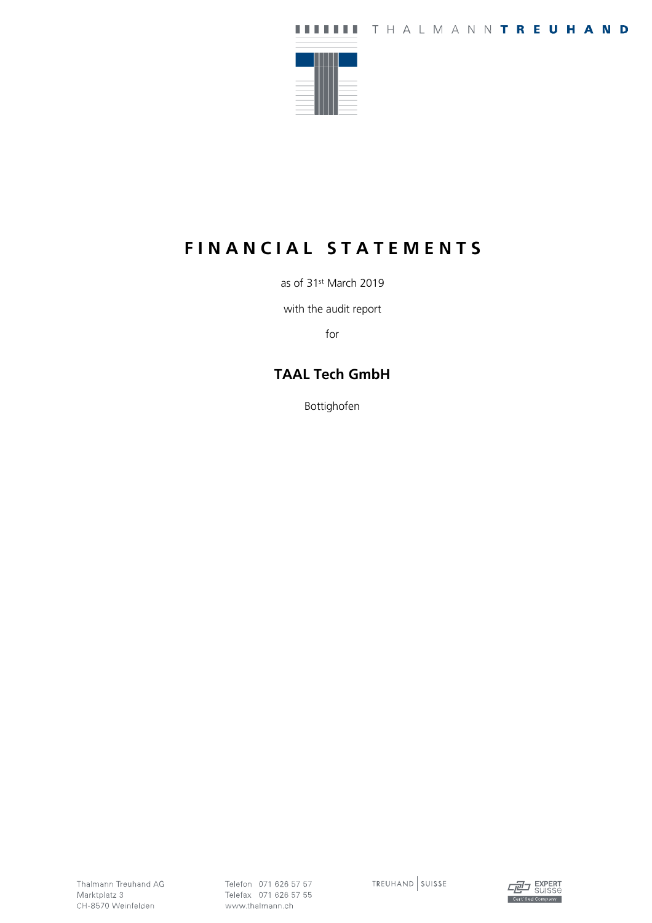

# **F I N A N C I A L S T A T E M E N T S**

as of 31st March 2019

with the audit report

for

### **TAAL Tech GmbH**

Bottighofen

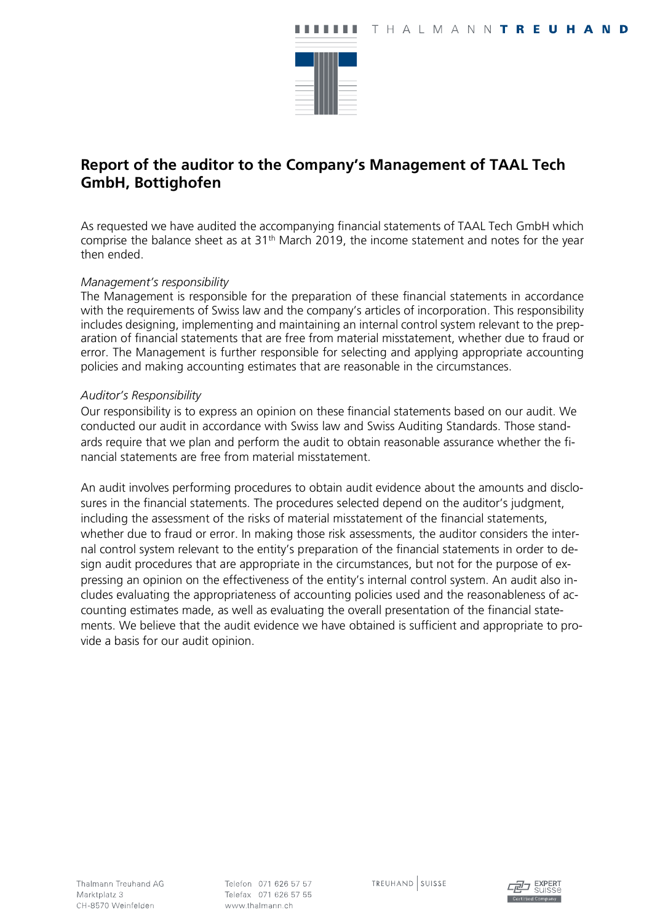

### **Report of the auditor to the Company's Management of TAAL Tech GmbH, Bottighofen**

As requested we have audited the accompanying financial statements of TAAL Tech GmbH which comprise the balance sheet as at 31<sup>th</sup> March 2019, the income statement and notes for the year then ended.

#### *Management's responsibility*

The Management is responsible for the preparation of these financial statements in accordance with the requirements of Swiss law and the company's articles of incorporation. This responsibility includes designing, implementing and maintaining an internal control system relevant to the preparation of financial statements that are free from material misstatement, whether due to fraud or error. The Management is further responsible for selecting and applying appropriate accounting policies and making accounting estimates that are reasonable in the circumstances.

#### *Auditor's Responsibility*

Our responsibility is to express an opinion on these financial statements based on our audit. We conducted our audit in accordance with Swiss law and Swiss Auditing Standards. Those standards require that we plan and perform the audit to obtain reasonable assurance whether the financial statements are free from material misstatement.

An audit involves performing procedures to obtain audit evidence about the amounts and disclosures in the financial statements. The procedures selected depend on the auditor's judgment, including the assessment of the risks of material misstatement of the financial statements, whether due to fraud or error. In making those risk assessments, the auditor considers the internal control system relevant to the entity's preparation of the financial statements in order to design audit procedures that are appropriate in the circumstances, but not for the purpose of expressing an opinion on the effectiveness of the entity's internal control system. An audit also includes evaluating the appropriateness of accounting policies used and the reasonableness of accounting estimates made, as well as evaluating the overall presentation of the financial statements. We believe that the audit evidence we have obtained is sufficient and appropriate to provide a basis for our audit opinion.

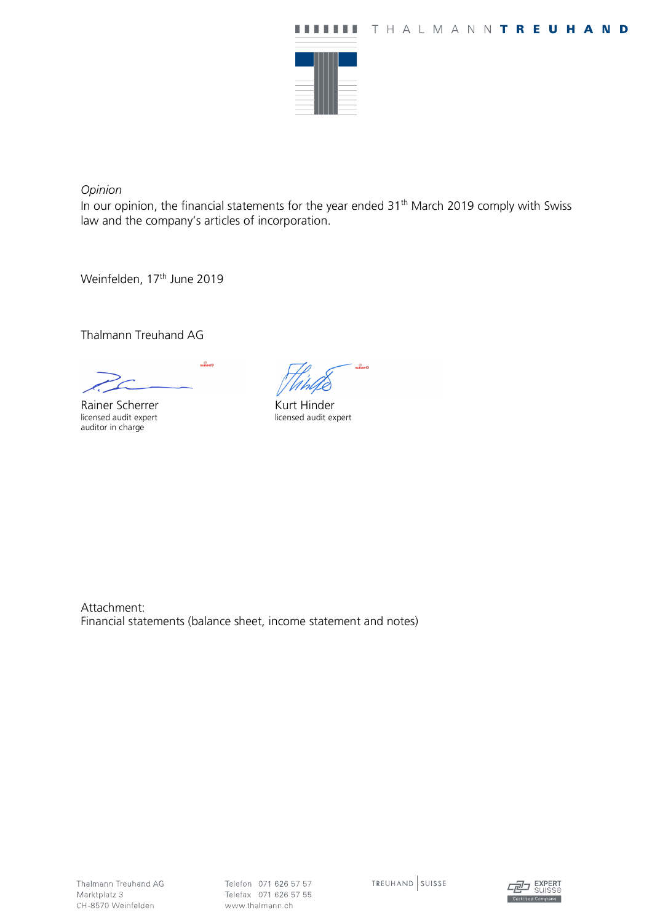

*Opinion* 

In our opinion, the financial statements for the year ended  $31<sup>th</sup>$  March 2019 comply with Swiss law and the company's articles of incorporation.

Weinfelden, 17<sup>th</sup> June 2019

Thalmann Treuhand AG

 $\frac{1}{2}$ 

Rainer Scherrer licensed audit expert auditor in charge

g<br>suisselD

Kurt Hinder licensed audit expert

Attachment: Financial statements (balance sheet, income statement and notes)

Telefon 071 626 57 57 Telefax 071 626 57 55 www.thalmann.ch

TREUHAND SUISSE

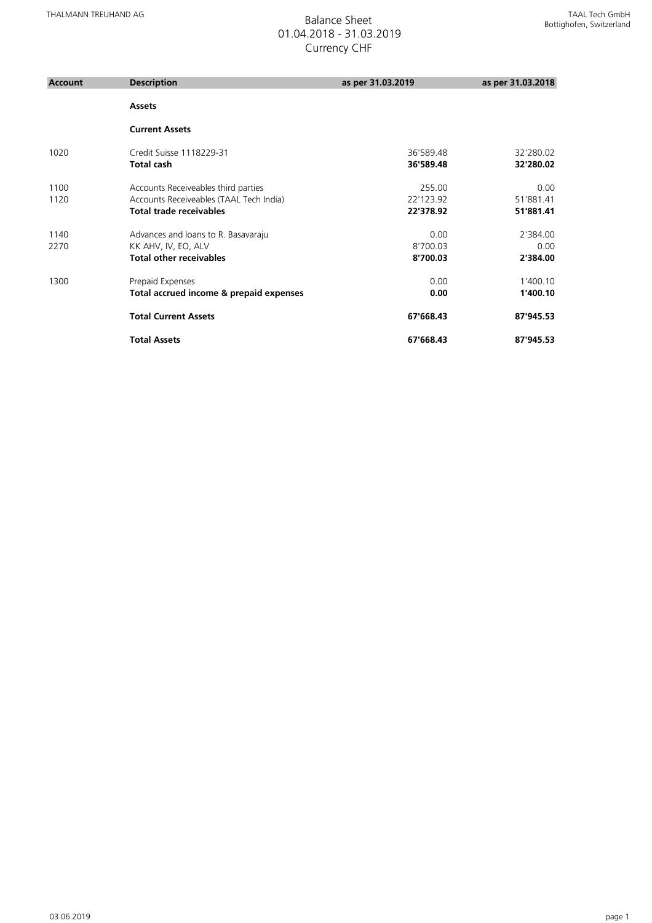## 01.04.2018 - 31.03.2019 Currency CHF

| <b>Account</b> | <b>Description</b>                      | as per 31.03.2019 | as per 31.03.2018 |
|----------------|-----------------------------------------|-------------------|-------------------|
|                | <b>Assets</b>                           |                   |                   |
|                | <b>Current Assets</b>                   |                   |                   |
| 1020           | Credit Suisse 1118229-31                | 36'589.48         | 32'280.02         |
|                | <b>Total cash</b>                       | 36'589.48         | 32'280.02         |
| 1100           | Accounts Receiveables third parties     | 255.00            | 0.00              |
| 1120           | Accounts Receiveables (TAAL Tech India) | 22'123.92         | 51'881.41         |
|                | <b>Total trade receivables</b>          | 22'378.92         | 51'881.41         |
| 1140           | Advances and loans to R. Basavaraju     | 0.00              | 2'384.00          |
| 2270           | KK AHV, IV, EO, ALV                     | 8'700.03          | 0.00              |
|                | <b>Total other receivables</b>          | 8'700.03          | 2'384.00          |
| 1300           | Prepaid Expenses                        | 0.00              | 1'400.10          |
|                | Total accrued income & prepaid expenses | 0.00              | 1'400.10          |
|                | <b>Total Current Assets</b>             | 67'668.43         | 87'945.53         |
|                | <b>Total Assets</b>                     | 67'668.43         | 87'945.53         |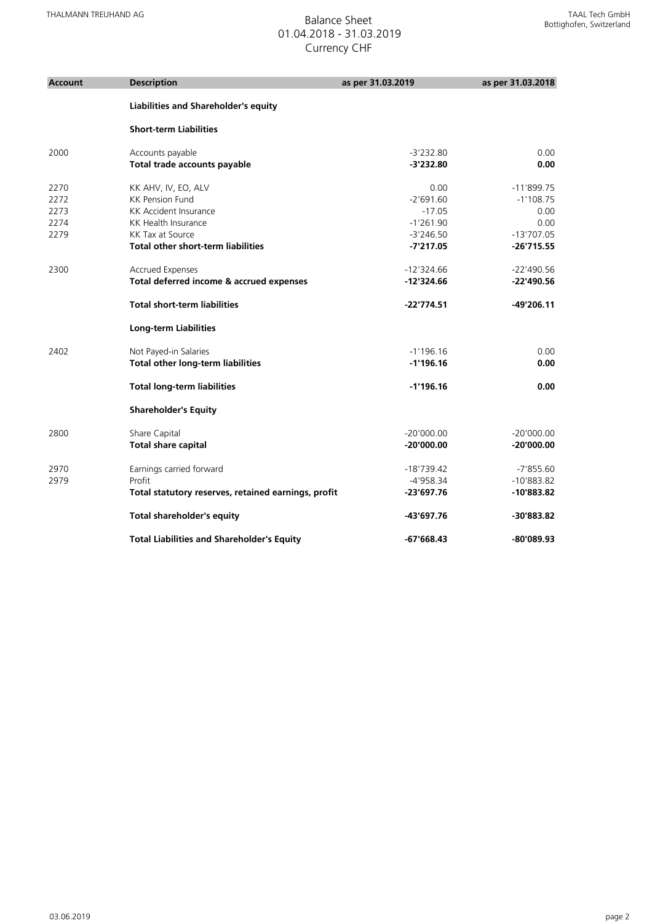## 01.04.2018 - 31.03.2019 Currency CHF

| Account | <b>Description</b>                                  | as per 31.03.2019 | as per 31.03.2018 |
|---------|-----------------------------------------------------|-------------------|-------------------|
|         | Liabilities and Shareholder's equity                |                   |                   |
|         | <b>Short-term Liabilities</b>                       |                   |                   |
| 2000    | Accounts payable                                    | $-3'232.80$       | 0.00              |
|         | Total trade accounts payable                        | $-3'232.80$       | 0.00              |
| 2270    | KK AHV, IV, EO, ALV                                 | 0.00              | $-11'899.75$      |
| 2272    | <b>KK Pension Fund</b>                              | $-2'691.60$       | $-1'108.75$       |
| 2273    | KK Accident Insurance                               | $-17.05$          | 0.00              |
| 2274    | <b>KK Health Insurance</b>                          | $-1'261.90$       | 0.00              |
| 2279    | KK Tax at Source                                    | $-3'246.50$       | $-13'707.05$      |
|         | <b>Total other short-term liabilities</b>           | $-7'217.05$       | $-26'715.55$      |
| 2300    | <b>Accrued Expenses</b>                             | $-12'324.66$      | $-22'490.56$      |
|         | Total deferred income & accrued expenses            | $-12'324.66$      | $-22'490.56$      |
|         | <b>Total short-term liabilities</b>                 | $-22'774.51$      | $-49'206.11$      |
|         | <b>Long-term Liabilities</b>                        |                   |                   |
| 2402    | Not Payed-in Salaries                               | $-1'196.16$       | 0.00              |
|         | <b>Total other long-term liabilities</b>            | $-1'196.16$       | 0.00              |
|         | <b>Total long-term liabilities</b>                  | $-1'196.16$       | 0.00              |
|         | <b>Shareholder's Equity</b>                         |                   |                   |
| 2800    | Share Capital                                       | $-20'000.00$      | $-20'000.00$      |
|         | <b>Total share capital</b>                          | $-20'000.00$      | $-20'000.00$      |
| 2970    | Earnings carried forward                            | $-18'739.42$      | $-7'855.60$       |
| 2979    | Profit                                              | $-4'958.34$       | $-10'883.82$      |
|         | Total statutory reserves, retained earnings, profit | $-23'697.76$      | $-10'883.82$      |
|         | <b>Total shareholder's equity</b>                   | -43'697.76        | -30'883.82        |
|         | <b>Total Liabilities and Shareholder's Equity</b>   | $-67'668.43$      | -80'089.93        |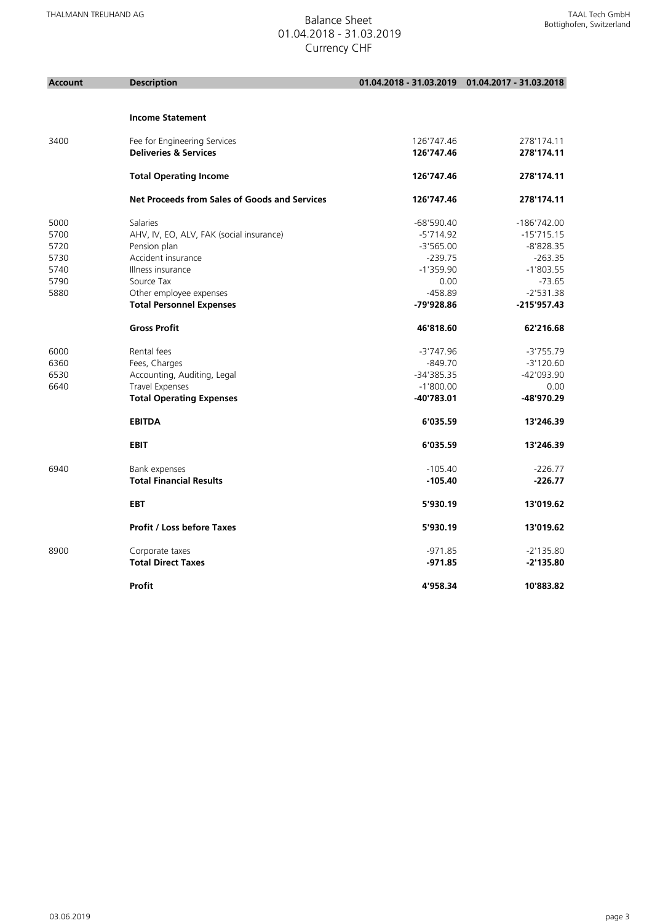| <b>Account</b> | <b>Description</b>                            |              | 01.04.2018 - 31.03.2019 01.04.2017 - 31.03.2018 |
|----------------|-----------------------------------------------|--------------|-------------------------------------------------|
|                |                                               |              |                                                 |
|                | <b>Income Statement</b>                       |              |                                                 |
| 3400           | Fee for Engineering Services                  | 126'747.46   | 278'174.11                                      |
|                | <b>Deliveries &amp; Services</b>              | 126'747.46   | 278'174.11                                      |
|                | <b>Total Operating Income</b>                 | 126'747.46   | 278'174.11                                      |
|                | Net Proceeds from Sales of Goods and Services | 126'747.46   | 278'174.11                                      |
| 5000           | Salaries                                      | $-68'590.40$ | $-186'742.00$                                   |
| 5700           | AHV, IV, EO, ALV, FAK (social insurance)      | $-5'714.92$  | $-15'715.15$                                    |
| 5720           | Pension plan                                  | $-3'565.00$  | $-8'828.35$                                     |
| 5730           | Accident insurance                            | $-239.75$    | $-263.35$                                       |
| 5740           | Illness insurance                             | $-1'359.90$  | $-1'803.55$                                     |
| 5790           | Source Tax                                    | 0.00         | $-73.65$                                        |
| 5880           | Other employee expenses                       | $-458.89$    | $-2'531.38$                                     |
|                | <b>Total Personnel Expenses</b>               | -79'928.86   | $-215'957.43$                                   |
|                | <b>Gross Profit</b>                           | 46'818.60    | 62'216.68                                       |
| 6000           | Rental fees                                   | $-3'747.96$  | $-3'755.79$                                     |
| 6360           | Fees, Charges                                 | $-849.70$    | $-3'120.60$                                     |
| 6530           | Accounting, Auditing, Legal                   | -34'385.35   | -42'093.90                                      |
| 6640           | Travel Expenses                               | $-1'800.00$  | 0.00                                            |
|                | <b>Total Operating Expenses</b>               | $-40'783.01$ | -48'970.29                                      |
|                | <b>EBITDA</b>                                 | 6'035.59     | 13'246.39                                       |
|                | <b>EBIT</b>                                   | 6'035.59     | 13'246.39                                       |
| 6940           | Bank expenses                                 | $-105.40$    | $-226.77$                                       |
|                | <b>Total Financial Results</b>                | $-105.40$    | $-226.77$                                       |
|                | <b>EBT</b>                                    | 5'930.19     | 13'019.62                                       |
|                | <b>Profit / Loss before Taxes</b>             | 5'930.19     | 13'019.62                                       |
| 8900           | Corporate taxes                               | $-971.85$    | $-2'135.80$                                     |
|                | <b>Total Direct Taxes</b>                     | $-971.85$    | $-2'135.80$                                     |
|                | Profit                                        | 4'958.34     | 10'883.82                                       |